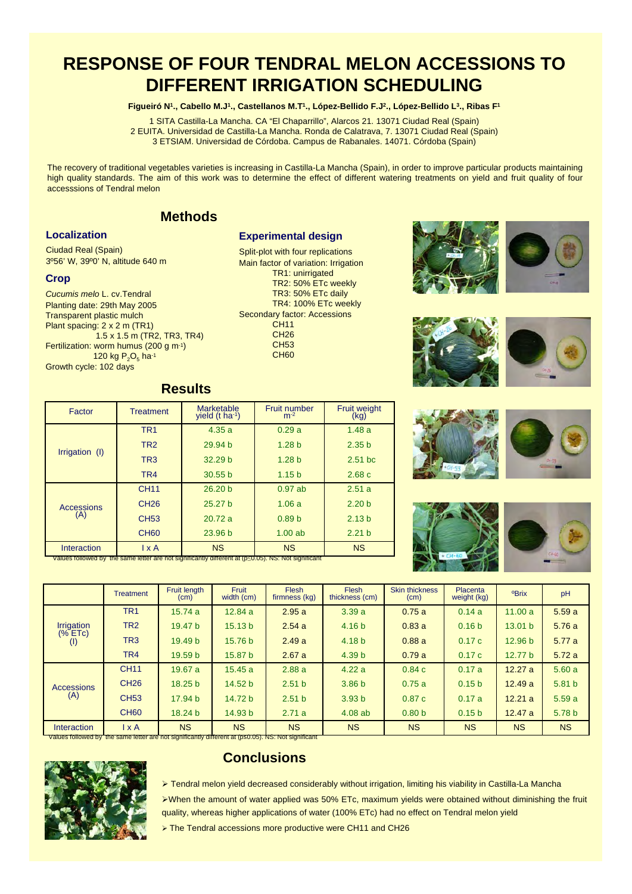# **RESPONSE OF FOUR TENDRAL MELON ACCESSIONS TO DIFFERENT IRRIGATION SCHEDULING**

#### **Figueiró N1., Cabello M.J1., Castellanos M.T1., López-Bellido F.J2., López-Bellido L3., Ribas F1**

1 SITA Castilla-La Mancha. CA "El Chaparrillo", Alarcos 21. 13071 Ciudad Real (Spain) 2 EUITA. Universidad de Castilla-La Mancha. Ronda de Calatrava, 7. 13071 Ciudad Real (Spain) 3 ETSIAM. Universidad de Córdoba. Campus de Rabanales. 14071. Córdoba (Spain)

The recovery of traditional vegetables varieties is increasing in Castilla-La Mancha (Spain), in order to improve particular products maintaining high quality standards. The aim of this work was to determine the effect of different watering treatments on yield and fruit quality of four accesssions of Tendral melon

> **Experimental design** Split-plot with four replications Main factor of variation: Irrigation TR1: unirrigated TR2: 50% ETc weekly TR3: 50% ETc daily TR4: 100% ETc weekly

Secondary factor: Accessions CH11 CH26 CH53 CH<sub>60</sub>

### **Methods**

#### **Localization**

Ciudad Real (Spain) 3º56' W, 39º0' N, altitude 640 m

#### **Crop**

*Cucumis melo* L. cv.Tendral Planting date: 29th May 2005 Transparent plastic mulch Plant spacing: 2 x 2 m (TR1) 1.5 x 1.5 m (TR2, TR3, TR4) Fertilization: worm humus (200 g m-1) 120 kg  $P_2O_5$  ha-1 Growth cycle: 102 days

### **Results**

| Factor                   | <b>Treatment</b> | Marketable<br>yield (t ha-1) | Fruit number<br>$m-2$ | <b>Fruit weight</b><br>(kg) |
|--------------------------|------------------|------------------------------|-----------------------|-----------------------------|
| Irrigation (I)           | TR <sub>1</sub>  | 4.35a                        | 0.29a                 | 1.48a                       |
|                          | TR <sub>2</sub>  | 29.94 <sub>b</sub>           | 1.28 <sub>b</sub>     | 2.35 <sub>b</sub>           |
|                          | TR <sub>3</sub>  | 32.29 <sub>b</sub>           | 1.28 <sub>b</sub>     | $2.51$ bc                   |
|                          | TR4              | 30.55 <sub>b</sub>           | 1.15 <sub>b</sub>     | 2.68c                       |
| <b>Accessions</b><br>(A) | <b>CH11</b>      | 26.20 <sub>b</sub>           | $0.97$ ab             | 2.51a                       |
|                          | CH <sub>26</sub> | 25.27 <sub>b</sub>           | 1.06a                 | 2.20 <sub>b</sub>           |
|                          | CH <sub>53</sub> | 20.72a                       | 0.89 <sub>b</sub>     | 2.13 <sub>b</sub>           |
|                          | <b>CH60</b>      | 23.96 <sub>b</sub>           | $1.00$ ab             | 2.21 <sub>b</sub>           |
| Interaction              | $1 \times A$     | <b>NS</b>                    | <b>NS</b>             | <b>NS</b>                   |

Values followed by the same letter are not significantly different at (p≤0.05). NS: Not significant

|                                                                                                               | Treatment                      | Fruit length<br>(cm) | <b>Fruit</b><br>width (cm) | <b>Flesh</b><br>firmness (kg) | <b>Flesh</b><br>thickness (cm) | <b>Skin thickness</b><br>(cm) | Placenta<br>weight (kg) | <b>OBrix</b>       | pH                |
|---------------------------------------------------------------------------------------------------------------|--------------------------------|----------------------|----------------------------|-------------------------------|--------------------------------|-------------------------------|-------------------------|--------------------|-------------------|
|                                                                                                               | TR <sub>1</sub>                | 15.74a               | 12.84 a                    | 2.95a                         | 3.39a                          | 0.75a                         | 0.14a                   | 11.00a             | 5.59a             |
| Irrigation                                                                                                    | TR <sub>2</sub>                | 19.47 <sub>b</sub>   | 15.13 <sub>b</sub>         | 2.54a                         | 4.16 <sub>b</sub>              | 0.83a                         | 0.16 <sub>b</sub>       | 13.01 b            | 5.76a             |
| (% ETC)<br>(1)                                                                                                | TR <sub>3</sub>                | 19.49 <sub>b</sub>   | 15.76 <sub>b</sub>         | 2.49a                         | 4.18 <sub>b</sub>              | 0.88a                         | 0.17c                   | 12.96 <sub>b</sub> | 5.77a             |
|                                                                                                               | TR4                            | 19.59 <sub>b</sub>   | 15.87 b                    | 2.67a                         | 4.39 <sub>b</sub>              | 0.79a                         | 0.17c                   | 12.77 <sub>b</sub> | 5.72a             |
| <b>Accessions</b><br>(A)                                                                                      | <b>CH11</b>                    | 19.67a               | 15.45a                     | 2.88a                         | 4.22a                          | 0.84c                         | 0.17a                   | 12.27a             | 5.60a             |
|                                                                                                               | <b>CH26</b>                    | 18.25 <sub>b</sub>   | 14.52 b                    | 2.51 <sub>b</sub>             | 3.86 <sub>b</sub>              | 0.75a                         | 0.15 <sub>b</sub>       | 12.49a             | 5.81 <sub>b</sub> |
|                                                                                                               | <b>CH53</b>                    | 17.94 b              | 14.72 <sub>b</sub>         | 2.51 <sub>b</sub>             | 3.93 <sub>b</sub>              | 0.87c                         | 0.17a                   | 12.21a             | 5.59a             |
|                                                                                                               | <b>CH60</b>                    | 18.24 b              | 14.93 b                    | 2.71a                         | 4.08ab                         | 0.80 <sub>b</sub>             | 0.15 <sub>b</sub>       | 12.47a             | 5.78 b            |
| Interaction                                                                                                   | $\mathsf{I} \times \mathsf{A}$ | <b>NS</b>            | <b>NS</b>                  | <b>NS</b>                     | <b>NS</b>                      | <b>NS</b>                     | <b>NS</b>               | <b>NS</b>          | <b>NS</b>         |
| Values followed by the same letter are not significantly different at $($ p $\leq$ 0.05). NS: Not significant |                                |                      |                            |                               |                                |                               |                         |                    |                   |



# **Conclusions**

 Tendral melon yield decreased considerably without irrigation, limiting his viability in Castilla-La Mancha When the amount of water applied was 50% ETc, maximum yields were obtained without diminishing the fruit quality, whereas higher applications of water (100% ETc) had no effect on Tendral melon yield

> The Tendral accessions more productive were CH11 and CH26







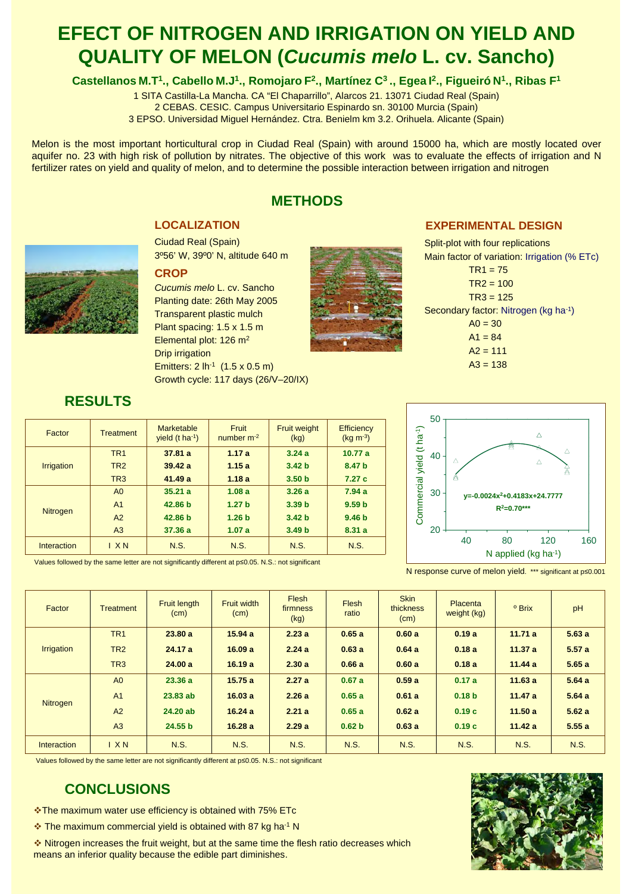# **EFECT OF NITROGEN AND IRRIGATION ON YIELD AND QUALITY OF MELON (***Cucumis melo* **L. cv. Sancho)**

### Castellanos M.T<sup>1</sup>., Cabello M.J<sup>1</sup>., Romojaro F<sup>2</sup>., Martínez C<sup>3</sup>., Egea I<sup>2</sup>., Figueiró N<sup>1</sup>., Ribas F<sup>1</sup>

1 SITA Castilla-La Mancha. CA "El Chaparrillo", Alarcos 21. 13071 Ciudad Real (Spain) 2 CEBAS. CESIC. Campus Universitario Espinardo sn. 30100 Murcia (Spain)

3 EPSO. Universidad Miguel Hernández. Ctra. Benielm km 3.2. Orihuela. Alicante (Spain)

Melon is the most important horticultural crop in Ciudad Real (Spain) with around 15000 ha, which are mostly located over aquifer no. 23 with high risk of pollution by nitrates. The objective of this work was to evaluate the effects of irrigation and N fertilizer rates on yield and quality of melon, and to determine the possible interaction between irrigation and nitrogen

# **METHODS**

### **LOCALIZATION**

Ciudad Real (Spain) 3º56' W, 39º0' N, altitude 640 m

#### **CROP**

*Cucumis melo* L. cv. Sancho Planting date: 26th May 2005 Transparent plastic mulch Plant spacing: 1.5 x 1.5 m Elemental plot: 126 m<sup>2</sup> Drip irrigation Emitters:  $2 \ln^{-1} (1.5 \times 0.5 \text{ m})$ Growth cycle: 117 days (26/V–20/IX)



### **EXPERIMENTAL DESIGN**

Split-plot with four replications Main factor of variation: Irrigation (% ETc)  $TR1 = 75$  $TR2 = 100$  $TR3 = 125$ Secondary factor: Nitrogen (kg ha-1)  $AO = 30$  $A1 = 84$  $A2 = 111$  $A3 = 138$ 



| Factor            | <b>Treatment</b> | Marketable<br>yield $(t \text{ ha}^{-1})$ | Fruit<br>number $m-2$ | <b>Fruit weight</b><br>(kg) | <b>Efficiency</b><br>$(kq m-3)$ |
|-------------------|------------------|-------------------------------------------|-----------------------|-----------------------------|---------------------------------|
|                   | TR <sub>1</sub>  | 37.81a                                    | 1.17a                 | 3.24a                       | 10.77a                          |
| <b>Irrigation</b> | TR <sub>2</sub>  | 39.42a                                    | 1.15a                 | 3.42 <sub>b</sub>           | 8.47 b                          |
|                   | TR <sub>3</sub>  | 41.49a                                    | 1.18a                 | 3.50 <sub>b</sub>           | 7.27c                           |
| <b>Nitrogen</b>   | A <sub>0</sub>   | 35.21a                                    | 1.08a                 | 3.26a                       | 7.94a                           |
|                   | A <sub>1</sub>   | 42.86 <sub>b</sub>                        | 1.27 <sub>b</sub>     | 3.39 <sub>b</sub>           | 9.59 <sub>b</sub>               |
|                   | A2               | 42.86 b                                   | 1.26 <sub>b</sub>     | 3.42 <sub>b</sub>           | 9.46 <sub>b</sub>               |
|                   | A <sub>3</sub>   | 37.36a                                    | 1.07a                 | 3.49 <sub>b</sub>           | 8.31a                           |
| Interaction       | IXN              | N.S.                                      | N.S.                  | <b>N.S.</b>                 | N.S.                            |

Values followed by the same letter are not significantly different at p≤0.05. N.S.: not significant



N response curve of melon yield. \*\*\* significant at p≤0.001

| Factor            | <b>Treatment</b> | <b>Fruit length</b><br>(cm) | <b>Fruit width</b><br>(cm) | Flesh<br>firmness<br>(kg) | <b>Flesh</b><br>ratio | <b>Skin</b><br>thickness<br>(cm) | Placenta<br>weight (kg) | <sup>o</sup> Brix | pH    |
|-------------------|------------------|-----------------------------|----------------------------|---------------------------|-----------------------|----------------------------------|-------------------------|-------------------|-------|
| <b>Irrigation</b> | TR <sub>1</sub>  | 23.80a                      | 15.94a                     | 2.23a                     | 0.65a                 | 0.60a                            | 0.19a                   | 11.71a            | 5.63a |
|                   | TR <sub>2</sub>  | 24.17a                      | 16.09a                     | 2.24a                     | 0.63a                 | 0.64a                            | 0.18a                   | 11.37a            | 5.57a |
|                   | TR <sub>3</sub>  | 24.00 a                     | 16.19a                     | 2.30a                     | 0.66a                 | 0.60a                            | 0.18a                   | 11.44a            | 5.65a |
| <b>Nitrogen</b>   | A <sub>0</sub>   | 23.36a                      | 15.75a                     | 2.27a                     | 0.67a                 | 0.59a                            | 0.17a                   | 11.63a            | 5.64a |
|                   | A <sub>1</sub>   | $23.83$ ab                  | 16.03a                     | 2.26a                     | 0.65a                 | 0.61a                            | 0.18 <sub>b</sub>       | 11.47a            | 5.64a |
|                   | A2               | 24.20 ab                    | 16.24a                     | 2.21a                     | 0.65a                 | 0.62a                            | 0.19c                   | 11.50a            | 5.62a |
|                   | A <sub>3</sub>   | 24.55 <sub>b</sub>          | 16.28a                     | 2.29a                     | 0.62 <sub>b</sub>     | 0.63a                            | 0.19c                   | 11.42a            | 5.55a |
| Interaction       | IXN              | <b>N.S.</b>                 | <b>N.S.</b>                | N.S.                      | <b>N.S.</b>           | <b>N.S.</b>                      | <b>N.S.</b>             | <b>N.S.</b>       | N.S.  |

Values followed by the same letter are not significantly different at p≤0.05. N.S.: not significant

# **CONCLUSIONS**

\*The maximum water use efficiency is obtained with 75% ETc

 $\cdot$  The maximum commercial yield is obtained with 87 kg ha<sup>-1</sup> N

 Nitrogen increases the fruit weight, but at the same time the flesh ratio decreases which means an inferior quality because the edible part diminishes.